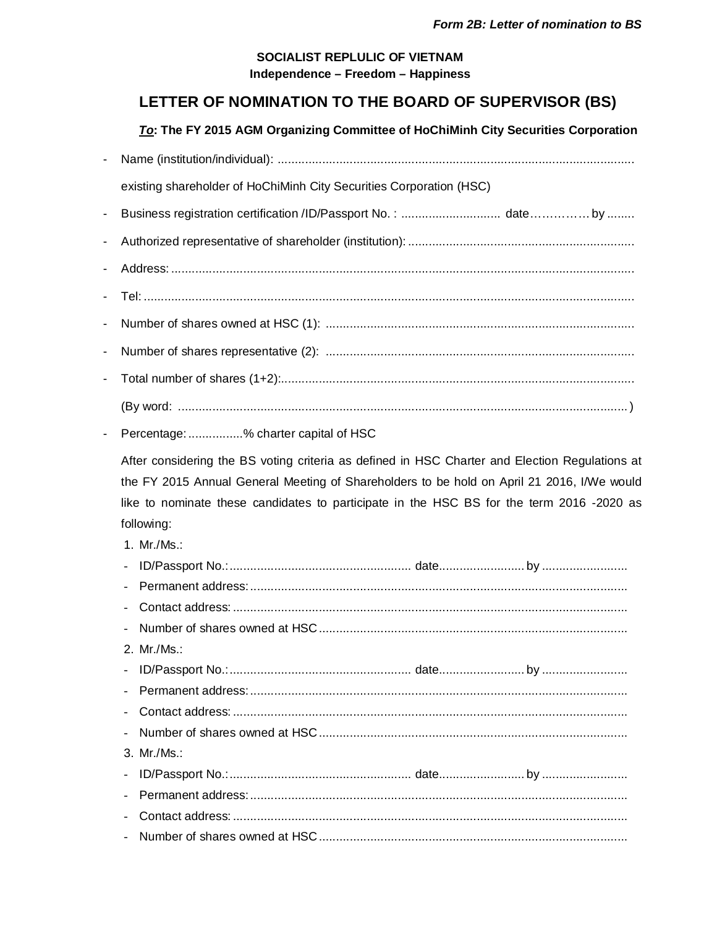## SOCIALIST REPLULIC OF VIETNAM Independence - Freedom - Happiness

## LETTER OF NOMINATION TO THE BOARD OF SUPERVISOR (BS)

To: The FY 2015 AGM Organizing Committee of HoChiMinh City Securities Corporation

| $\blacksquare$ |                                                                                                                                                                                                       |
|----------------|-------------------------------------------------------------------------------------------------------------------------------------------------------------------------------------------------------|
|                | existing shareholder of HoChiMinh City Securities Corporation (HSC)                                                                                                                                   |
| ÷              | Business registration certification /ID/Passport No.:  dateby                                                                                                                                         |
|                |                                                                                                                                                                                                       |
|                |                                                                                                                                                                                                       |
|                |                                                                                                                                                                                                       |
| -              |                                                                                                                                                                                                       |
|                |                                                                                                                                                                                                       |
| -              |                                                                                                                                                                                                       |
| -              |                                                                                                                                                                                                       |
|                |                                                                                                                                                                                                       |
|                | Percentage: % charter capital of HSC                                                                                                                                                                  |
|                | the FY 2015 Annual General Meeting of Shareholders to be hold on April 21 2016, I/We would<br>like to nominate these candidates to participate in the HSC BS for the term 2016 -2020 as<br>following: |
|                | 1. Mr./Ms.:                                                                                                                                                                                           |
|                |                                                                                                                                                                                                       |
|                |                                                                                                                                                                                                       |
|                |                                                                                                                                                                                                       |
|                | 2. Mr./Ms.:                                                                                                                                                                                           |
|                |                                                                                                                                                                                                       |
|                |                                                                                                                                                                                                       |
|                |                                                                                                                                                                                                       |
|                |                                                                                                                                                                                                       |
|                | 3. Mr./Ms.:                                                                                                                                                                                           |
|                |                                                                                                                                                                                                       |
|                |                                                                                                                                                                                                       |
|                |                                                                                                                                                                                                       |
|                |                                                                                                                                                                                                       |